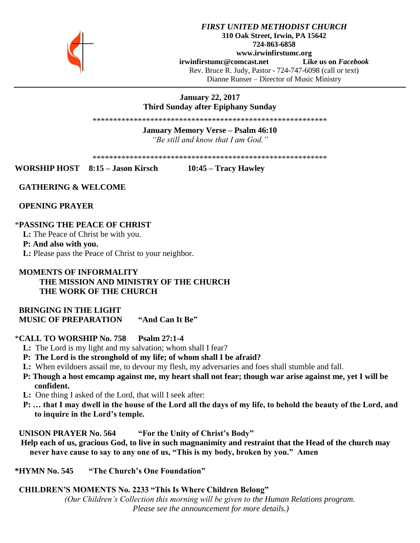

## *FIRST UNITED METHODIST CHURCH* **310 Oak Street, Irwin, PA 15642 724-863-6858 www.irwinfirstumc.org [irwinfirstumc@comcast.net](mailto:irwinfirstumc@comcast.net) Like us on** *Facebook* Rev. Bruce R. Judy, Pastor - 724-747-6098 (call or text) Dianne Runser – Director of Music Ministry

# **January 22, 2017 Third Sunday after Epiphany Sunday**

\*\*\*\*\*\*\*\*\*\*\*\*\*\*\*\*\*\*\*\*\*\*\*\*\*\*\*\*\*\*\*\*\*\*\*\*\*\*\*\*\*\*\*\*\*\*\*\*\*\*\*\*\*\*\*\*\*

# **January Memory Verse – Psalm 46:10** *"Be still and know that I am God."*

\*\*\*\*\*\*\*\*\*\*\*\*\*\*\*\*\*\*\*\*\*\*\*\*\*\*\*\*\*\*\*\*\*\*\*\*\*\*\*\*\*\*\*\*\*\*\*\*\*\*\*\*\*\*\*\*\*

**WORSHIP HOST 8:15 – Jason Kirsch 10:45 – Tracy Hawley**

 **GATHERING & WELCOME** 

 **OPENING PRAYER**

# \***PASSING THE PEACE OF CHRIST**

 **L:** The Peace of Christ be with you.

#### **P: And also with you.**

 **L:** Please pass the Peace of Christ to your neighbor.

# **MOMENTS OF INFORMALITY THE MISSION AND MINISTRY OF THE CHURCH THE WORK OF THE CHURCH**

 **BRINGING IN THE LIGHT MUSIC OF PREPARATION "And Can It Be"**

# \***CALL TO WORSHIP No. 758 Psalm 27:1-4**

- **L:** The Lord is my light and my salvation; whom shall I fear?
- **P: The Lord is the stronghold of my life; of whom shall I be afraid?**
- **L:** When evildoers assail me, to devour my flesh, my adversaries and foes shall stumble and fall.
- **P: Though a host emcamp against me, my heart shall not fear; though war arise against me, yet I will be confident.**
- **L:** One thing I asked of the Lord, that will I seek after:
- **P: … that I may dwell in the house of the Lord all the days of my life, to behold the beauty of the Lord, and to inquire in the Lord's temple.**

 **UNISON PRAYER No. 564 "For the Unity of Christ's Body"**

 **Help each of us, gracious God, to live in such magnanimity and restraint that the Head of the church may never have cause to say to any one of us, "This is my body, broken by you." Amen**

**\*HYMN No. 545 "The Church's One Foundation"**

# **CHILDREN'S MOMENTS No. 2233 "This Is Where Children Belong"**

*(Our Children's Collection this morning will be given to the Human Relations program. Please see the announcement for more details.)*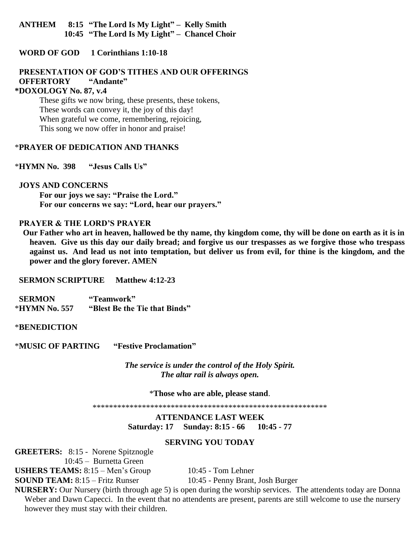# **ANTHEM 8:15 "The Lord Is My Light" – Kelly Smith 10:45 "The Lord Is My Light" – Chancel Choir**

# **WORD OF GOD 1 Corinthians 1:10-18**

## **PRESENTATION OF GOD'S TITHES AND OUR OFFERINGS OFFERTORY "Andante" \*DOXOLOGY No. 87, v.4**

These gifts we now bring, these presents, these tokens, These words can convey it, the joy of this day! When grateful we come, remembering, rejoicing, This song we now offer in honor and praise!

## \***PRAYER OF DEDICATION AND THANKS**

\***HYMN No. 398 "Jesus Calls Us"**

#### **JOYS AND CONCERNS**

**For our joys we say: "Praise the Lord." For our concerns we say: "Lord, hear our prayers."**

# **PRAYER & THE LORD'S PRAYER**

 **Our Father who art in heaven, hallowed be thy name, thy kingdom come, thy will be done on earth as it is in heaven. Give us this day our daily bread; and forgive us our trespasses as we forgive those who trespass against us. And lead us not into temptation, but deliver us from evil, for thine is the kingdom, and the power and the glory forever. AMEN**

 **SERMON SCRIPTURE Matthew 4:12-23**

 **SERMON "Teamwork"** \***HYMN No. 557 "Blest Be the Tie that Binds"**

\***BENEDICTION** 

\***MUSIC OF PARTING "Festive Proclamation"**

*The service is under the control of the Holy Spirit. The altar rail is always open.*

\***Those who are able, please stand**.

\*\*\*\*\*\*\*\*\*\*\*\*\*\*\*\*\*\*\*\*\*\*\*\*\*\*\*\*\*\*\*\*\*\*\*\*\*\*\*\*\*\*\*\*\*\*\*\*\*\*\*\*\*\*\*\*\*

**ATTENDANCE LAST WEEK Saturday: 17 Sunday: 8:15 - 66 10:45 - 77**

# **SERVING YOU TODAY**

**GREETERS:** 8:15 - Norene Spitznogle

10:45 – Burnetta Green

**USHERS TEAMS:**  $8:15 - \text{Men's Group}$  10:45 - Tom Lehner

**SOUND TEAM:** 8:15 – Fritz Runser 10:45 - Penny Brant, Josh Burger

**NURSERY:** Our Nursery (birth through age 5) is open during the worship services. The attendents today are Donna Weber and Dawn Capecci. In the event that no attendents are present, parents are still welcome to use the nursery however they must stay with their children.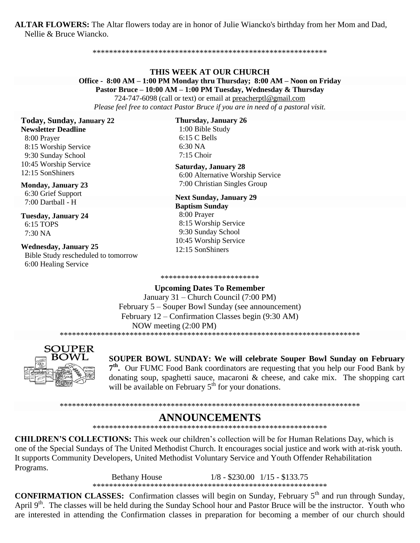**ALTAR FLOWERS:** The Altar flowers today are in honor of Julie Wiancko's birthday from her Mom and Dad, Nellie & Bruce Wiancko.

## THIS WEEK AT OUR CHURCH Office - 8:00 AM – 1:00 PM Monday thru Thursday; 8:00 AM – Noon on Friday Pastor Bruce - 10:00 AM - 1:00 PM Tuesday, Wednesday & Thursday 724-747-6098 (call or text) or email at preacherptl@gmail.com

Please feel free to contact Pastor Bruce if you are in need of a pastoral visit.

#### Today, Sunday, January 22 **Newsletter Deadline**

8:00 Praver 8:15 Worship Service 9:30 Sunday School 10:45 Worship Service 12:15 SonShiners

## **Monday, January 23**

6:30 Grief Support  $7:00$  Dartball - H

#### **Tuesday, January 24** 6:15 TOPS  $7:30\text{ NA}$

**Wednesday, January 25** 

Bible Study rescheduled to tomorrow 6:00 Healing Service

#### Thursday, January 26

1:00 Bible Study 6:15 C Bells  $6:30<sub>NA</sub>$  $7:15$  Choir

#### **Saturday, January 28** 6:00 Alternative Worship Service 7:00 Christian Singles Group

**Next Sunday, January 29 Baptism Sunday** 8:00 Prayer 8:15 Worship Service 9:30 Sunday School 10:45 Worship Service 12:15 SonShiners

\*\*\*\*\*\*\*\*\*\*\*\*\*\*\*\*\*\*\*\*\*\*\*\*

## **Upcoming Dates To Remember**

January 31 – Church Council (7:00 PM) February 5 – Souper Bowl Sunday (see announcement) February 12 – Confirmation Classes begin (9:30 AM) NOW meeting  $(2:00 \text{ PM})$ 



SOUPER BOWL SUNDAY: We will celebrate Souper Bowl Sunday on February 7<sup>th</sup>. Our FUMC Food Bank coordinators are requesting that you help our Food Bank by donating soup, spaghetti sauce, macaroni  $\&$  cheese, and cake mix. The shopping cart will be available on February  $5<sup>th</sup>$  for your donations.

# **ANNOUNCEMENTS**

**CHILDREN'S COLLECTIONS:** This week our children's collection will be for Human Relations Day, which is one of the Special Sundays of The United Methodist Church. It encourages social justice and work with at-risk youth. It supports Community Developers, United Methodist Voluntary Service and Youth Offender Rehabilitation Programs.

> $1/8 - $230.00$   $1/15 - $133.75$ **Bethany House**

**CONFIRMATION CLASSES:** Confirmation classes will begin on Sunday, February 5<sup>th</sup> and run through Sunday, April 9<sup>th</sup>. The classes will be held during the Sunday School hour and Pastor Bruce will be the instructor. Youth who are interested in attending the Confirmation classes in preparation for becoming a member of our church should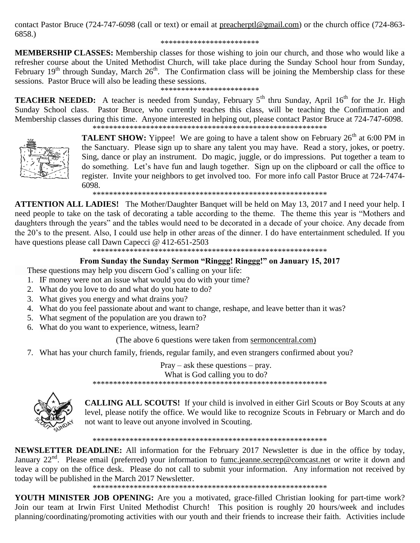contact Pastor Bruce (724-747-6098 (call or text) or email at preacherptl@gmail.com) or the church office (724-863-6858.)

\*\*\*\*\*\*\*\*\*\*\*\*\*\*\*\*\*\*\*\*\*\*\*\*

# **MEMBERSHIP CLASSES:** Membership classes for those wishing to join our church, and those who would like a refresher course about the United Methodist Church, will take place during the Sunday School hour from Sunday, February  $19<sup>th</sup>$  through Sunday, March  $26<sup>th</sup>$ . The Confirmation class will be joining the Membership class for these sessions. Pastor Bruce will also be leading these sessions.

\*\*\*\*\*\*\*\*\*\*\*\*\*\*\*\*\*\*\*\*\*\*\*\*

**TEACHER NEEDED:** A teacher is needed from Sunday, February 5<sup>th</sup> thru Sunday, April 16<sup>th</sup> for the Jr. High Sunday School class. Pastor Bruce, who currently teaches this class, will be teaching the Confirmation and Membership classes during this time. Anyone interested in helping out, please contact Pastor Bruce at 724-747-6098. 



**TALENT SHOW:** Yippee! We are going to have a talent show on February 26<sup>th</sup> at 6:00 PM in the Sanctuary. Please sign up to share any talent you may have. Read a story, jokes, or poetry. Sing, dance or play an instrument. Do magic, juggle, or do impressions. Put together a team to do something. Let's have fun and laugh together. Sign up on the clipboard or call the office to register. Invite your neighbors to get involved too. For more info call Pastor Bruce at 724-7474-6098.

**ATTENTION ALL LADIES!** The Mother/Daughter Banquet will be held on May 13, 2017 and I need your help. I need people to take on the task of decorating a table according to the theme. The theme this year is "Mothers and daughters through the years" and the tables would need to be decorated in a decade of your choice. Any decade from the 20's to the present. Also, I could use help in other areas of the dinner. I do have entertainment scheduled. If you have questions please call Dawn Capecci @ 412-651-2503

# From Sunday the Sunday Sermon "Ringgg! Ringgg!" on January 15, 2017

These questions may help you discern God's calling on your life:

- 1. IF money were not an issue what would you do with your time?
- 2. What do you love to do and what do you hate to do?
- 3. What gives you energy and what drains you?
- 4. What do you feel passionate about and want to change, reshape, and leave better than it was?
- 5. What segment of the population are you drawn to?
- 6. What do you want to experience, witness, learn?

(The above 6 questions were taken from sermoncentral.com)

7. What has your church family, friends, regular family, and even strangers confirmed about you?

 $Pray - ask these questions - pray.$ What is God calling you to do? 



**CALLING ALL SCOUTS!** If your child is involved in either Girl Scouts or Boy Scouts at any level, please notify the office. We would like to recognize Scouts in February or March and do not want to leave out anyone involved in Scouting.

#### 

**NEWSLETTER DEADLINE:** All information for the February 2017 Newsletter is due in the office by today, January 22<sup>nd</sup>. Please email (preferred) your information to <u>fumc.jeanne.secrep@comcast.net</u> or write it down and leave a copy on the office desk. Please do not call to submit your information. Any information not received by today will be published in the March 2017 Newsletter.

YOUTH MINISTER JOB OPENING: Are you a motivated, grace-filled Christian looking for part-time work? Join our team at Irwin First United Methodist Church! This position is roughly 20 hours/week and includes planning/coordinating/promoting activities with our youth and their friends to increase their faith. Activities include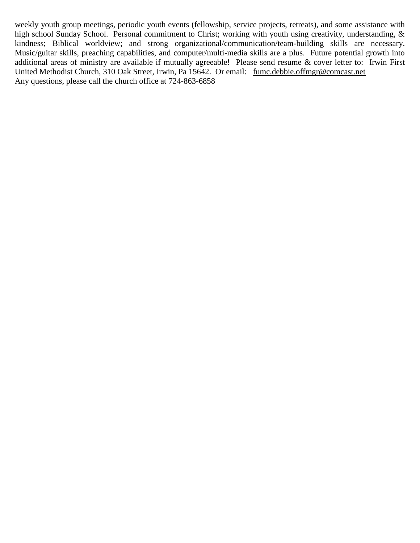weekly youth group meetings, periodic youth events (fellowship, service projects, retreats), and some assistance with high school Sunday School. Personal commitment to Christ; working with youth using creativity, understanding, & kindness; Biblical worldview; and strong organizational/communication/team-building skills are necessary. Music/guitar skills, preaching capabilities, and computer/multi-media skills are a plus. Future potential growth into additional areas of ministry are available if mutually agreeable! Please send resume & cover letter to: Irwin First United Methodist Church, 310 Oak Street, Irwin, Pa 15642. Or email: [fumc.debbie.offmgr@comcast.net](mailto:fumc.debbie.offmgr@comcast.net)  Any questions, please call the church office at 724-863-6858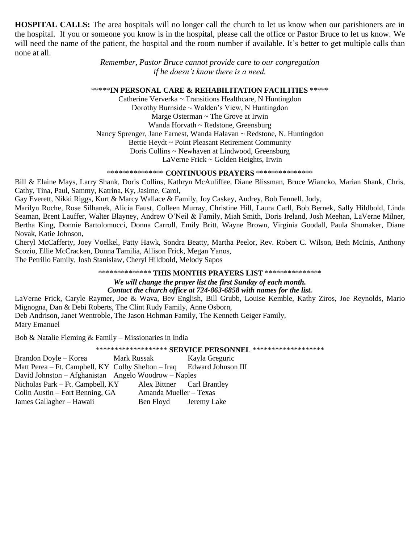**HOSPITAL CALLS:** The area hospitals will no longer call the church to let us know when our parishioners are in the hospital. If you or someone you know is in the hospital, please call the office or Pastor Bruce to let us know. We will need the name of the patient, the hospital and the room number if available. It's better to get multiple calls than none at all.

> *Remember, Pastor Bruce cannot provide care to our congregation if he doesn't know there is a need.*

## \*\*\*\*\***IN PERSONAL CARE & REHABILITATION FACILITIES** \*\*\*\*\*

Catherine Ververka ~ Transitions Healthcare, N Huntingdon Dorothy Burnside  $\sim$  Walden's View, N Huntingdon Marge Osterman  $\sim$  The Grove at Irwin Wanda Horvath ~ Redstone, Greensburg Nancy Sprenger, Jane Earnest, Wanda Halavan ~ Redstone, N. Huntingdon Bettie Heydt ~ Point Pleasant Retirement Community Doris Collins ~ Newhaven at Lindwood, Greensburg LaVerne Frick ~ Golden Heights, Irwin

# \*\*\*\*\*\*\*\*\*\*\*\*\*\*\* **CONTINUOUS PRAYERS** \*\*\*\*\*\*\*\*\*\*\*\*\*\*\*

Bill & Elaine Mays, Larry Shank, Doris Collins, Kathryn McAuliffee, Diane Blissman, Bruce Wiancko, Marian Shank, Chris, Cathy, Tina, Paul, Sammy, Katrina, Ky, Jasime, Carol,

Gay Everett, Nikki Riggs, Kurt & Marcy Wallace & Family, Joy Caskey, Audrey, Bob Fennell, Jody,

Marilyn Roche, Rose Silhanek, Alicia Faust, Colleen Murray, Christine Hill, Laura Carll, Bob Bernek, Sally Hildbold, Linda Seaman, Brent Lauffer, Walter Blayney, Andrew O'Neil & Family, Miah Smith, Doris Ireland, Josh Meehan, LaVerne Milner, Bertha King, Donnie Bartolomucci, Donna Carroll, Emily Britt, Wayne Brown, Virginia Goodall, Paula Shumaker, Diane Novak, Katie Johnson,

Cheryl McCafferty, Joey Voelkel, Patty Hawk, Sondra Beatty, Martha Peelor, Rev. Robert C. Wilson, Beth McInis, Anthony Scozio, Ellie McCracken, Donna Tamilia, Allison Frick, Megan Yanos,

The Petrillo Family, Josh Stanislaw, Cheryl Hildbold, Melody Sapos

# \*\*\*\*\*\*\*\*\*\*\*\*\*\* **THIS MONTHS PRAYERS LIST** \*\*\*\*\*\*\*\*\*\*\*\*\*\*\*

#### *We will change the prayer list the first Sunday of each month.*

*Contact the church office at 724-863-6858 with names for the list.*

LaVerne Frick, Caryle Raymer, Joe & Wava, Bev English, Bill Grubb, Louise Kemble, Kathy Ziros, Joe Reynolds, Mario Mignogna, Dan & Debi Roberts, The Clint Rudy Family, Anne Osborn,

Deb Andrison, Janet Wentroble, The Jason Hohman Family, The Kenneth Geiger Family,

Mary Emanuel

Bob & Natalie Fleming & Family – Missionaries in India

# \*\*\*\*\*\*\*\*\*\*\*\*\*\*\*\*\*\*\* **SERVICE PERSONNEL** \*\*\*\*\*\*\*\*\*\*\*\*\*\*\*\*\*\*\*

Brandon Doyle – Korea Mark Russak Kayla Greguric Matt Perea – Ft. Campbell, KY Colby Shelton – Iraq Edward Johnson III David Johnston – Afghanistan Angelo Woodrow – Naples Nicholas Park – Ft. Campbell, KY Alex Bittner Carl Brantley Colin Austin – Fort Benning, GA Amanda Mueller – Texas James Gallagher – Hawaii Ben Floyd Jeremy Lake